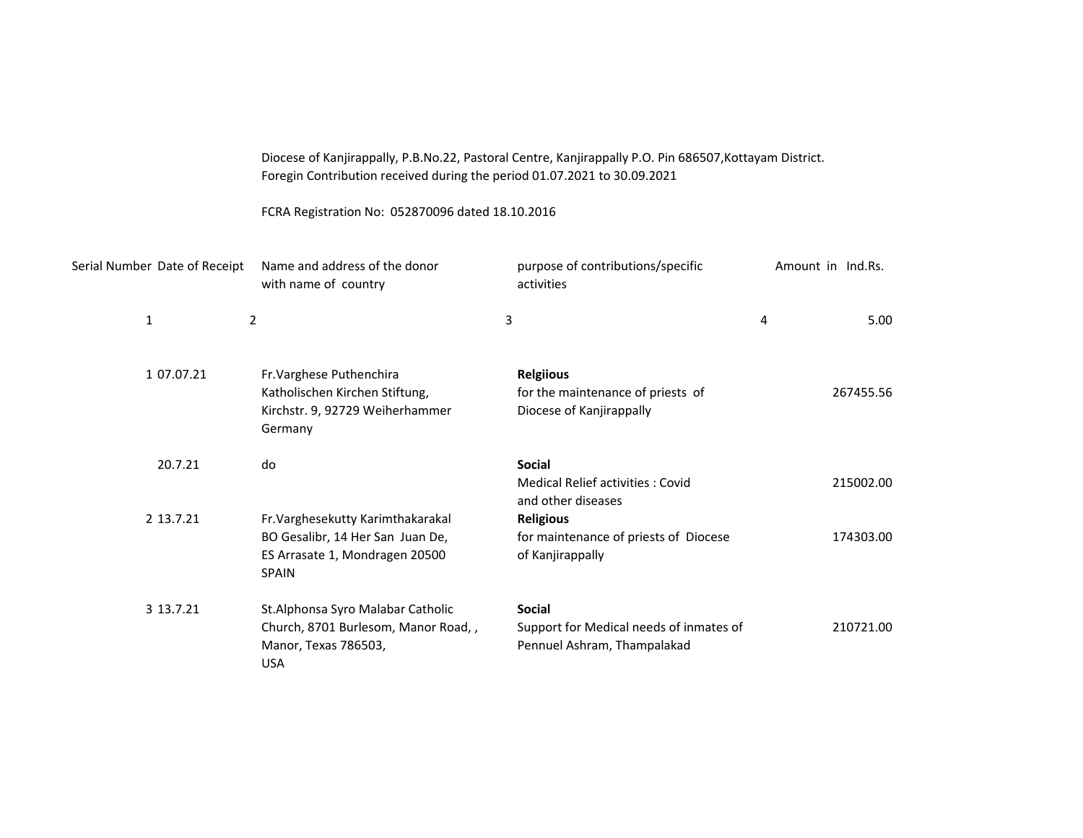| Diocese of Kanjirappally, P.B.No.22, Pastoral Centre, Kanjirappally P.O. Pin 686507, Kottayam District. |
|---------------------------------------------------------------------------------------------------------|
| Foregin Contribution received during the period 01.07.2021 to 30.09.2021                                |

FCRA Registration No: 052870096 dated 18.10.2016

|              | Serial Number Date of Receipt | Name and address of the donor<br>with name of country                                                                   | purpose of contributions/specific<br>activities                                         |   | Amount in Ind.Rs. |
|--------------|-------------------------------|-------------------------------------------------------------------------------------------------------------------------|-----------------------------------------------------------------------------------------|---|-------------------|
| $\mathbf{1}$ |                               | $\overline{2}$                                                                                                          | 3                                                                                       | 4 | 5.00              |
|              | 1 07.07.21                    | Fr. Varghese Puthenchira<br>Katholischen Kirchen Stiftung,<br>Kirchstr. 9, 92729 Weiherhammer<br>Germany                | <b>Relgiious</b><br>for the maintenance of priests of<br>Diocese of Kanjirappally       |   | 267455.56         |
|              | 20.7.21                       | do                                                                                                                      | <b>Social</b><br>Medical Relief activities: Covid<br>and other diseases                 |   | 215002.00         |
|              | 2 13.7.21                     | Fr. Varghesekutty Karimthakarakal<br>BO Gesalibr, 14 Her San Juan De,<br>ES Arrasate 1, Mondragen 20500<br><b>SPAIN</b> | <b>Religious</b><br>for maintenance of priests of Diocese<br>of Kanjirappally           |   | 174303.00         |
|              | 3 13.7.21                     | St.Alphonsa Syro Malabar Catholic<br>Church, 8701 Burlesom, Manor Road,,<br>Manor, Texas 786503,<br><b>USA</b>          | <b>Social</b><br>Support for Medical needs of inmates of<br>Pennuel Ashram, Thampalakad |   | 210721.00         |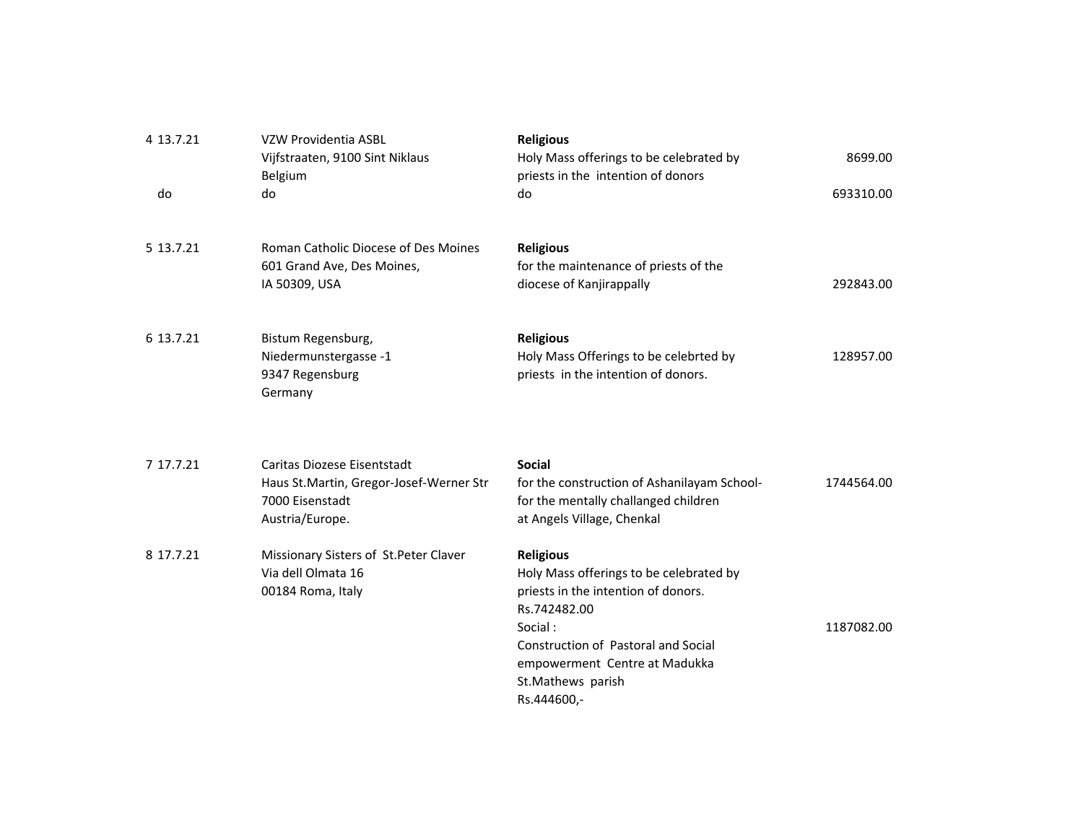| 4 13.7.21 | VZW Providentia ASBL<br>Vijfstraaten, 9100 Sint Niklaus<br>Belgium | <b>Religious</b><br>Holy Mass offerings to be celebrated by<br>priests in the intention of donors | 8699.00    |
|-----------|--------------------------------------------------------------------|---------------------------------------------------------------------------------------------------|------------|
| do        | do                                                                 | do                                                                                                | 693310.00  |
|           |                                                                    |                                                                                                   |            |
| 5 13.7.21 | Roman Catholic Diocese of Des Moines                               | <b>Religious</b>                                                                                  |            |
|           | 601 Grand Ave, Des Moines,                                         | for the maintenance of priests of the                                                             |            |
|           | IA 50309, USA                                                      | diocese of Kanjirappally                                                                          | 292843.00  |
| 6 13.7.21 | Bistum Regensburg,                                                 | <b>Religious</b>                                                                                  |            |
|           | Niedermunstergasse -1                                              | Holy Mass Offerings to be celebrted by                                                            | 128957.00  |
|           | 9347 Regensburg                                                    | priests in the intention of donors.                                                               |            |
|           | Germany                                                            |                                                                                                   |            |
|           |                                                                    |                                                                                                   |            |
| 7 17.7.21 | Caritas Diozese Eisentstadt                                        | <b>Social</b>                                                                                     |            |
|           | Haus St. Martin, Gregor-Josef-Werner Str                           | for the construction of Ashanilayam School-                                                       | 1744564.00 |
|           | 7000 Eisenstadt                                                    | for the mentally challanged children                                                              |            |
|           | Austria/Europe.                                                    | at Angels Village, Chenkal                                                                        |            |
| 8 17.7.21 | Missionary Sisters of St. Peter Claver                             | <b>Religious</b>                                                                                  |            |
|           | Via dell Olmata 16                                                 | Holy Mass offerings to be celebrated by                                                           |            |
|           | 00184 Roma, Italy                                                  | priests in the intention of donors.                                                               |            |
|           |                                                                    | Rs.742482.00                                                                                      |            |
|           |                                                                    | Social:                                                                                           | 1187082.00 |
|           |                                                                    | Construction of Pastoral and Social                                                               |            |
|           |                                                                    | empowerment Centre at Madukka                                                                     |            |
|           |                                                                    | St.Mathews parish                                                                                 |            |
|           |                                                                    | Rs.444600,-                                                                                       |            |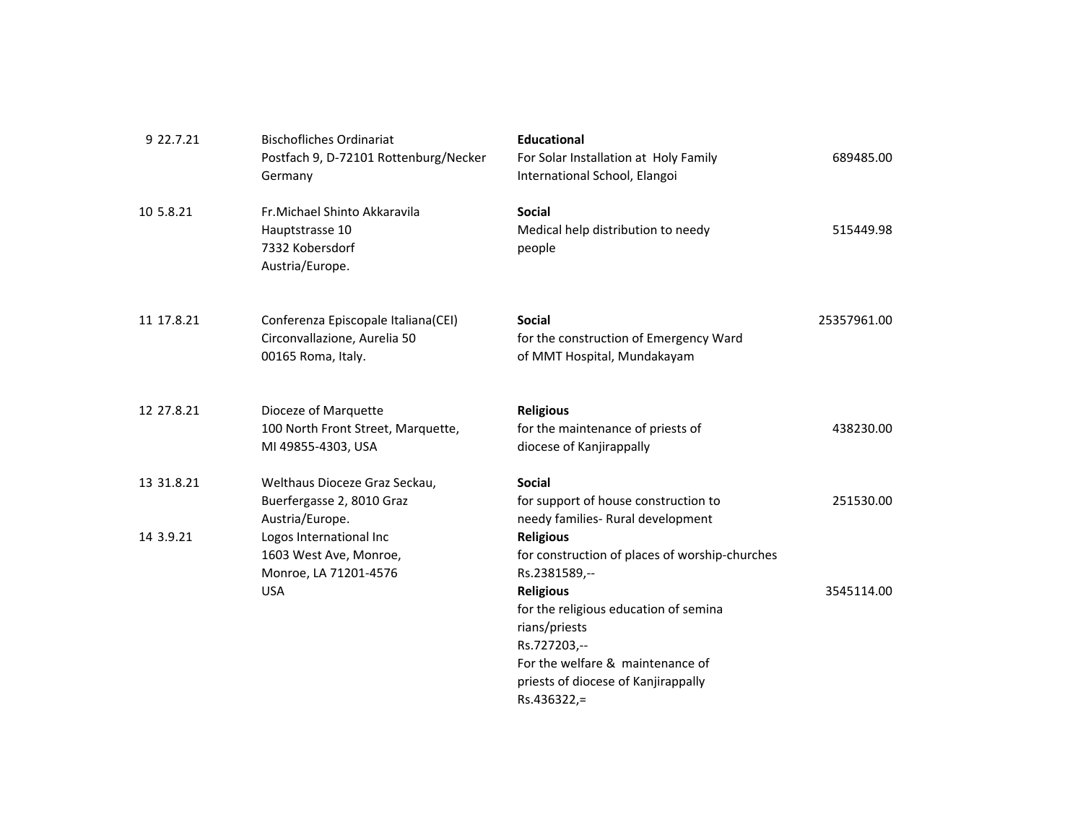| 9 22.7.21  | <b>Bischofliches Ordinariat</b><br>Postfach 9, D-72101 Rottenburg/Necker<br>Germany       | <b>Educational</b><br>For Solar Installation at Holy Family<br>International School, Elangoi                                                                                                                          | 689485.00   |
|------------|-------------------------------------------------------------------------------------------|-----------------------------------------------------------------------------------------------------------------------------------------------------------------------------------------------------------------------|-------------|
| 10 5.8.21  | Fr. Michael Shinto Akkaravila<br>Hauptstrasse 10<br>7332 Kobersdorf<br>Austria/Europe.    | <b>Social</b><br>Medical help distribution to needy<br>people                                                                                                                                                         | 515449.98   |
| 11 17.8.21 | Conferenza Episcopale Italiana(CEI)<br>Circonvallazione, Aurelia 50<br>00165 Roma, Italy. | <b>Social</b><br>for the construction of Emergency Ward<br>of MMT Hospital, Mundakayam                                                                                                                                | 25357961.00 |
| 12 27.8.21 | Dioceze of Marquette<br>100 North Front Street, Marquette,<br>MI 49855-4303, USA          | <b>Religious</b><br>for the maintenance of priests of<br>diocese of Kanjirappally                                                                                                                                     | 438230.00   |
| 13 31.8.21 | Welthaus Dioceze Graz Seckau,<br>Buerfergasse 2, 8010 Graz<br>Austria/Europe.             | <b>Social</b><br>for support of house construction to<br>needy families- Rural development                                                                                                                            | 251530.00   |
| 14 3.9.21  | Logos International Inc<br>1603 West Ave, Monroe,<br>Monroe, LA 71201-4576<br><b>USA</b>  | <b>Religious</b><br>for construction of places of worship-churches<br>Rs.2381589,--<br><b>Religious</b><br>for the religious education of semina<br>rians/priests<br>Rs.727203,--<br>For the welfare & maintenance of | 3545114.00  |
|            |                                                                                           | priests of diocese of Kanjirappally<br>Rs.436322,=                                                                                                                                                                    |             |